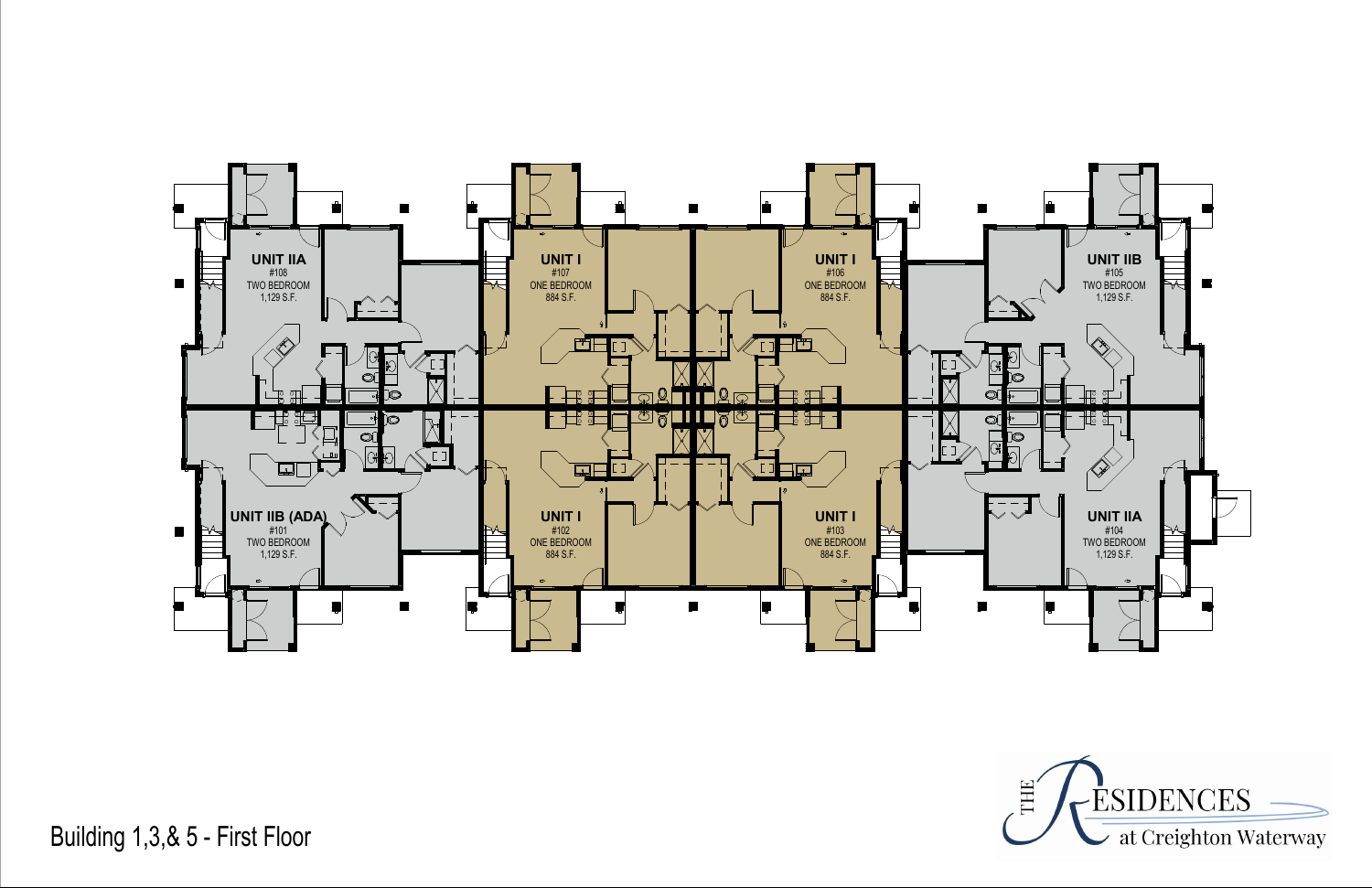

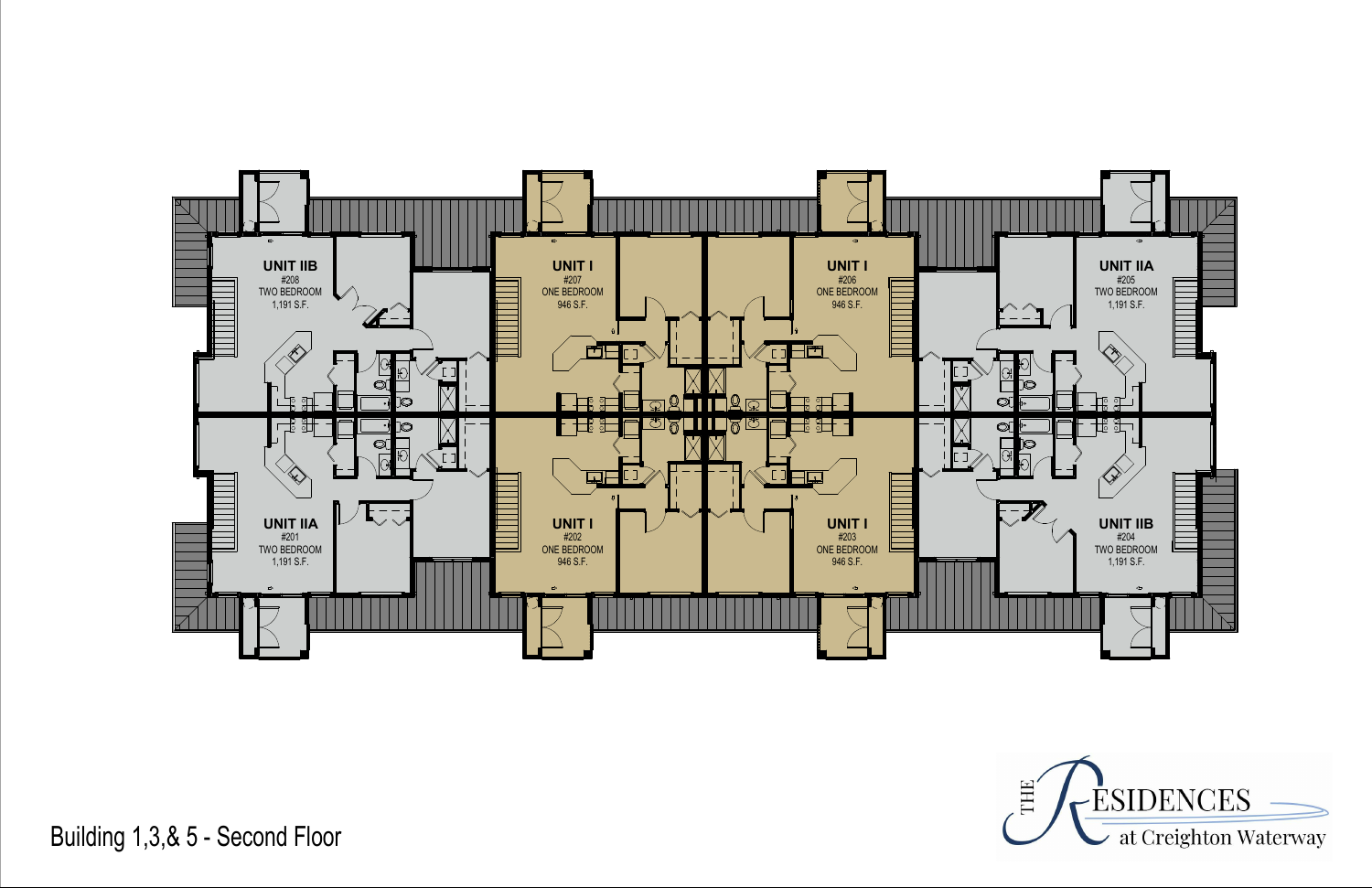

Building 1,3,& 5 - Second Floor

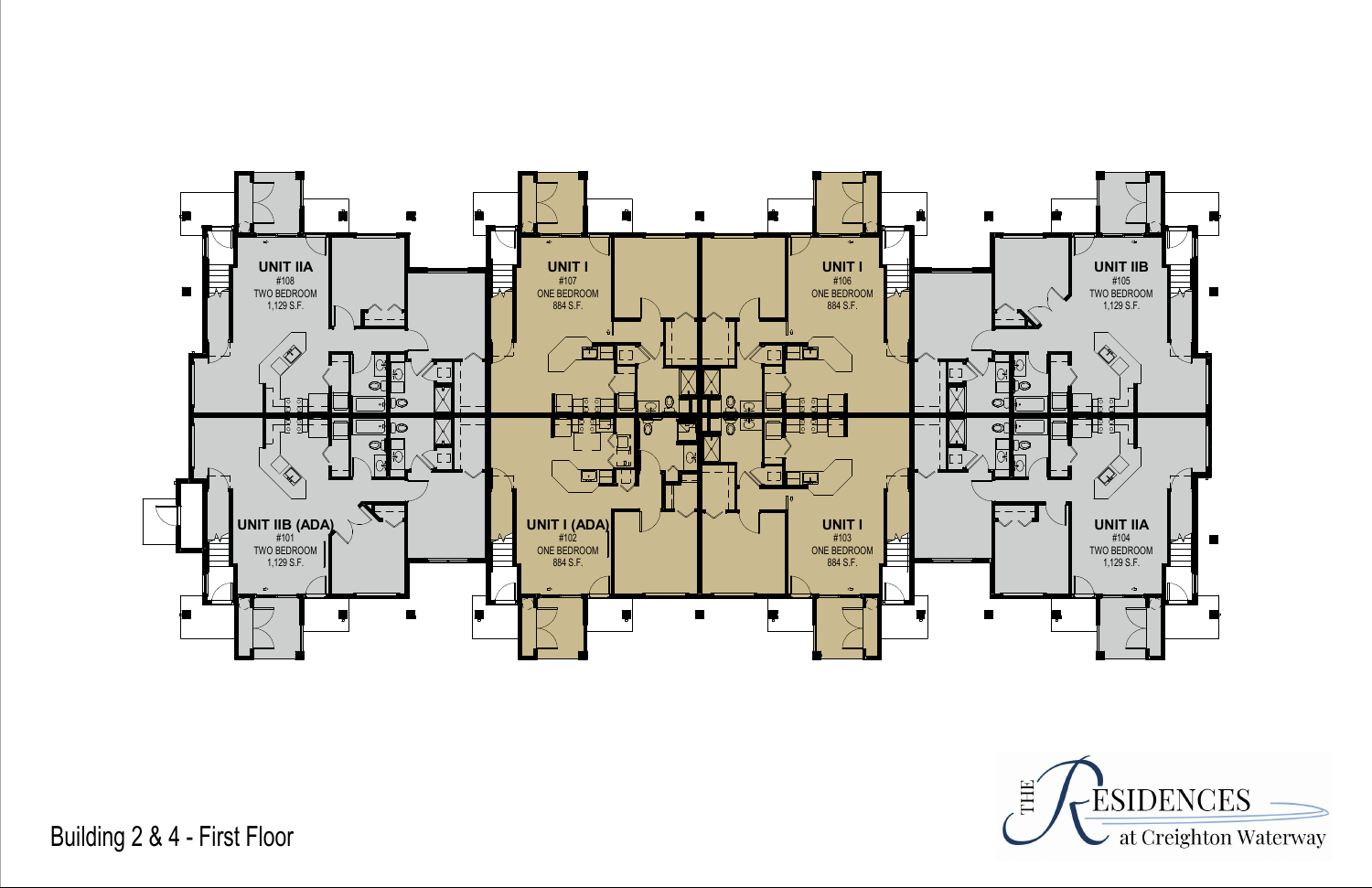

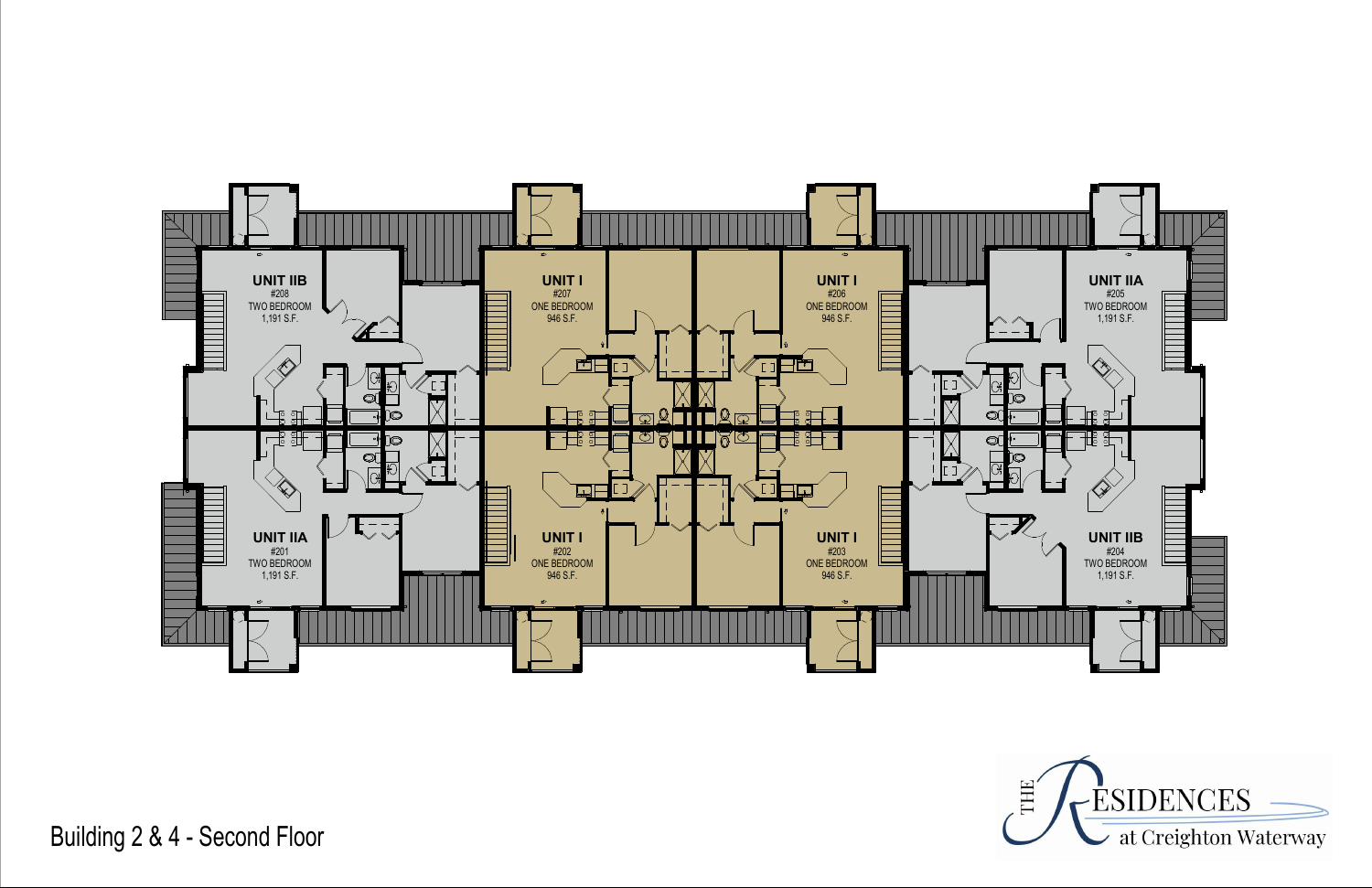

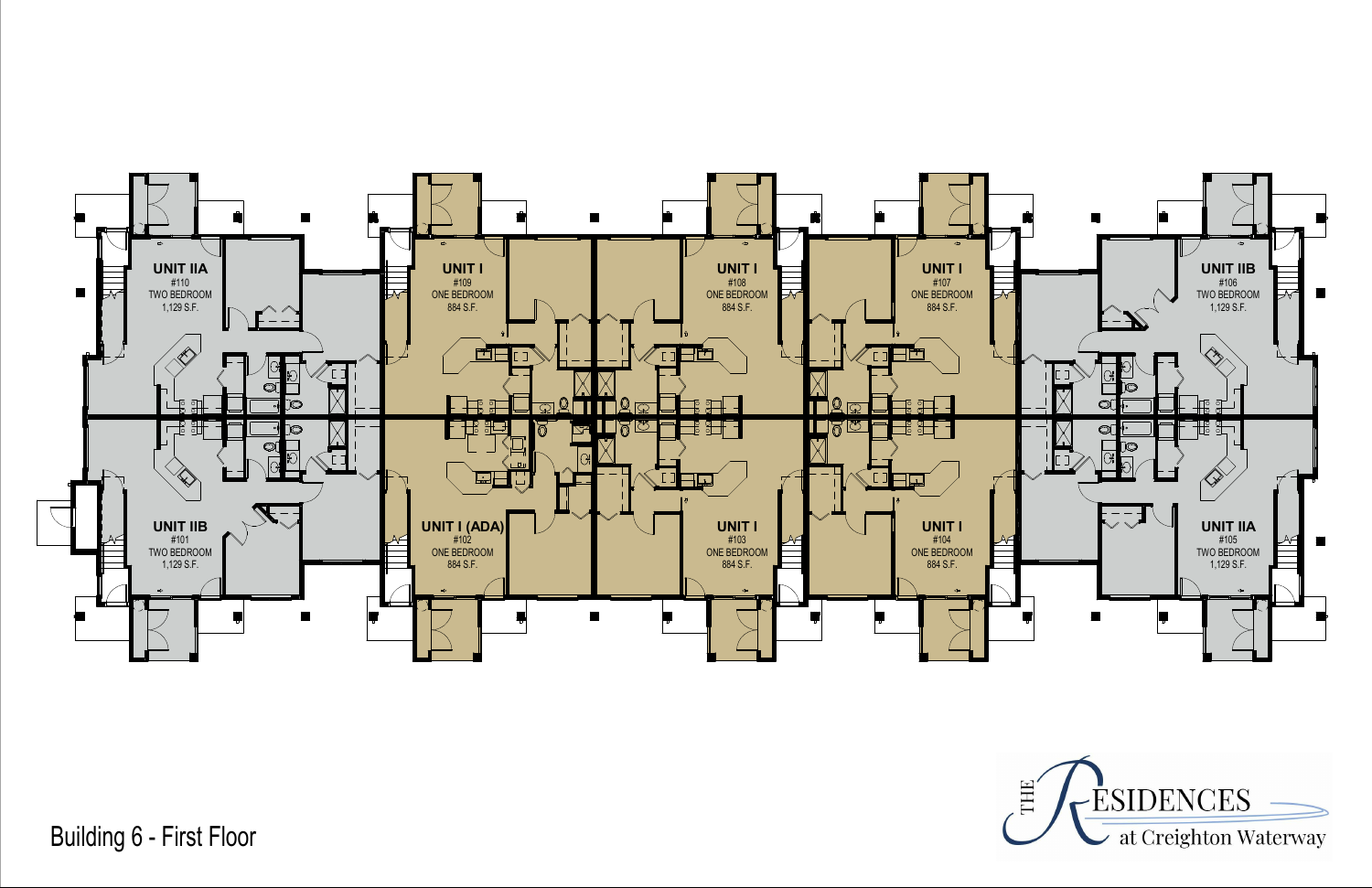